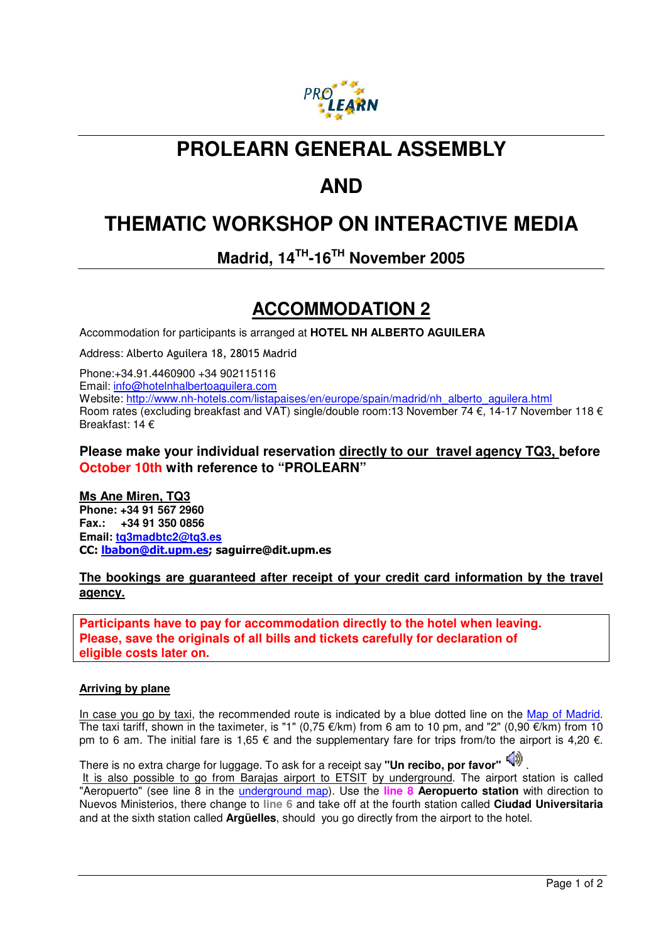

### **PROLEARN GENERAL ASSEMBLY**

# **AND**

# **THEMATIC WORKSHOP ON INTERACTIVE MEDIA**

**Madrid, 14TH-16TH November 2005** 

### **ACCOMMODATION 2**

Accommodation for participants is arranged at **HOTEL NH ALBERTO AGUILERA**

Address: Alberto Aguilera 18, 28015 Madrid

Phone:+34.91.4460900 +34 902115116 Email: info@hotelnhalbertoaguilera.com Website: http://www.nh-hotels.com/listapaises/en/europe/spain/madrid/nh\_alberto\_aguilera.html Room rates (excluding breakfast and VAT) single/double room:13 November 74 €, 14-17 November 118 € Breakfast: 14 €

### **Please make your individual reservation directly to our travel agency TQ3, before October 10th with reference to "PROLEARN"**

**Ms Ane Miren, TQ3 Phone: +34 91 567 2960 Fax.: +34 91 350 0856 Email: tq3madbtc2@tq3.es**  CC: lbabon@dit.upm.es; saguirre@dit.upm.es

### **The bookings are guaranteed after receipt of your credit card information by the travel agency.**

**Participants have to pay for accommodation directly to the hotel when leaving. Please, save the originals of all bills and tickets carefully for declaration of eligible costs later on.**

#### **Arriving by plane**

In case you go by taxi, the recommended route is indicated by a blue dotted line on the Map of Madrid. The taxi tariff, shown in the taximeter, is "1" (0,75  $\epsilon$ /km) from 6 am to 10 pm, and "2" (0,90  $\epsilon$ /km) from 10 pm to 6 am. The initial fare is 1,65  $\epsilon$  and the supplementary fare for trips from/to the airport is 4,20  $\epsilon$ .

There is no extra charge for luggage. To ask for a receipt say "**Un recibo, por favor"**  It is also possible to go from Barajas airport to ETSIT by underground. The airport station is called "Aeropuerto" (see line 8 in the underground map). Use the **line 8 Aeropuerto station** with direction to Nuevos Ministerios, there change to **line 6** and take off at the fourth station called **Ciudad Universitaria** and at the sixth station called **Argüelles**, should you go directly from the airport to the hotel.